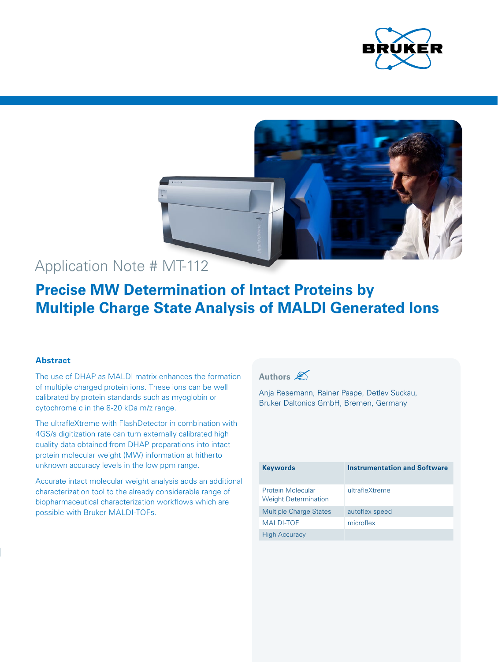



# Application Note # MT-112

# **Precise MW Determination of Intact Proteins by Multiple Charge State Analysis of MALDI Generated Ions**

# **Abstract**

The use of DHAP as MALDI matrix enhances the formation of multiple charged protein ions. These ions can be well calibrated by protein standards such as myoglobin or cytochrome c in the 8-20 kDa m/z range.

The ultrafleXtreme with FlashDetector in combination with 4GS/s digitization rate can turn externally calibrated high quality data obtained from DHAP preparations into intact protein molecular weight (MW) information at hitherto unknown accuracy levels in the low ppm range.

Accurate intact molecular weight analysis adds an additional characterization tool to the already considerable range of biopharmaceutical characterization workflows which are possible with Bruker MALDI-TOFs.

# **Authors**

Anja Resemann, Rainer Paape, Detlev Suckau, Bruker Daltonics GmbH, Bremen, Germany

| <b>Keywords</b>                                  | <b>Instrumentation and Software</b> |
|--------------------------------------------------|-------------------------------------|
| Protein Molecular<br><b>Weight Determination</b> | ultrafleXtreme                      |
| <b>Multiple Charge States</b>                    | autoflex speed                      |
| <b>MALDI-TOF</b>                                 | microflex                           |
| <b>High Accuracy</b>                             |                                     |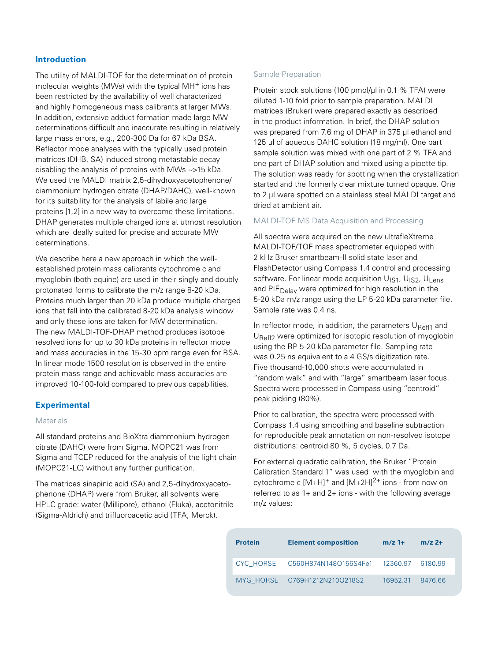### **Introduction**

The utility of MALDI-TOF for the determination of protein molecular weights (MWs) with the typical MH+ ions has been restricted by the availability of well characterized and highly homogeneous mass calibrants at larger MWs. In addition, extensive adduct formation made large MW determinations difficult and inaccurate resulting in relatively large mass errors, e.g., 200-300 Da for 67 kDa BSA. Reflector mode analyses with the typically used protein matrices (DHB, SA) induced strong metastable decay disabling the analysis of proteins with MWs ~>15 kDa. We used the MALDI matrix 2,5-dihydroxyacetophenone/ diammonium hydrogen citrate (DHAP/DAHC), well-known for its suitability for the analysis of labile and large proteins [1,2] in a new way to overcome these limitations. DHAP generates multiple charged ions at utmost resolution which are ideally suited for precise and accurate MW determinations.

We describe here a new approach in which the wellestablished protein mass calibrants cytochrome c and myoglobin (both equine) are used in their singly and doubly protonated forms to calibrate the m/z range 8-20 kDa. Proteins much larger than 20 kDa produce multiple charged ions that fall into the calibrated 8-20 kDa analysis window and only these ions are taken for MW determination. The new MALDI-TOF-DHAP method produces isotope resolved ions for up to 30 kDa proteins in reflector mode and mass accuracies in the 15-30 ppm range even for BSA. In linear mode 1500 resolution is observed in the entire protein mass range and achievable mass accuracies are improved 10-100-fold compared to previous capabilities.

#### **Experimental**

#### **Materials**

All standard proteins and BioXtra diammonium hydrogen citrate (DAHC) were from Sigma. MOPC21 was from Sigma and TCEP reduced for the analysis of the light chain (MOPC21-LC) without any further purification.

The matrices sinapinic acid (SA) and 2,5-dihydroxyacetophenone (DHAP) were from Bruker, all solvents were HPLC grade: water (Millipore), ethanol (Fluka), acetonitrile (Sigma-Aldrich) and trifluoroacetic acid (TFA, Merck).

#### Sample Preparation

Protein stock solutions (100 pmol/ul in 0.1 % TFA) were diluted 1-10 fold prior to sample preparation. MALDI matrices (Bruker) were prepared exactly as described in the product information. In brief, the DHAP solution was prepared from 7.6 mg of DHAP in 375 µl ethanol and 125 µl of aqueous DAHC solution (18 mg/ml). One part sample solution was mixed with one part of 2 % TFA and one part of DHAP solution and mixed using a pipette tip. The solution was ready for spotting when the crystallization started and the formerly clear mixture turned opaque. One to 2 µl were spotted on a stainless steel MALDI target and dried at ambient air.

#### MALDI-TOF MS Data Acquisition and Processing

All spectra were acquired on the new ultrafleXtreme MALDI-TOF/TOF mass spectrometer equipped with 2 kHz Bruker smartbeam-II solid state laser and FlashDetector using Compass 1.4 control and processing software. For linear mode acquisition U<sub>IS1</sub>, U<sub>IS2</sub>, U<sub>Lens</sub> and PIE<sub>Delay</sub> were optimized for high resolution in the 5-20 kDa m/z range using the LP 5-20 kDa parameter file. Sample rate was 0.4 ns.

In reflector mode, in addition, the parameters  $U<sub>Ref11</sub>$  and U<sub>Refl2</sub> were optimized for isotopic resolution of myoglobin using the RP 5-20 kDa parameter file. Sampling rate was 0.25 ns equivalent to a 4 GS/s digitization rate. Five thousand-10,000 shots were accumulated in "random walk" and with "large" smartbeam laser focus. Spectra were processed in Compass using "centroid" peak picking (80%).

Prior to calibration, the spectra were processed with Compass 1.4 using smoothing and baseline subtraction for reproducible peak annotation on non-resolved isotope distributions: centroid 80 %, 5 cycles, 0.7 Da.

For external quadratic calibration, the Bruker "Protein Calibration Standard 1" was used with the myoglobin and cytochrome c  $[M+H]^+$  and  $[M+2H]^2$ <sup>+</sup> ions - from now on referred to as 1+ and 2+ ions - with the following average m/z values:

| <b>Protein</b> | <b>Element composition</b>    | $m/z$ 1+ | $m/z$ 2+ |
|----------------|-------------------------------|----------|----------|
|                |                               |          |          |
|                | MYG HORSE C769H1212N210O218S2 | 16952.31 | 8476.66  |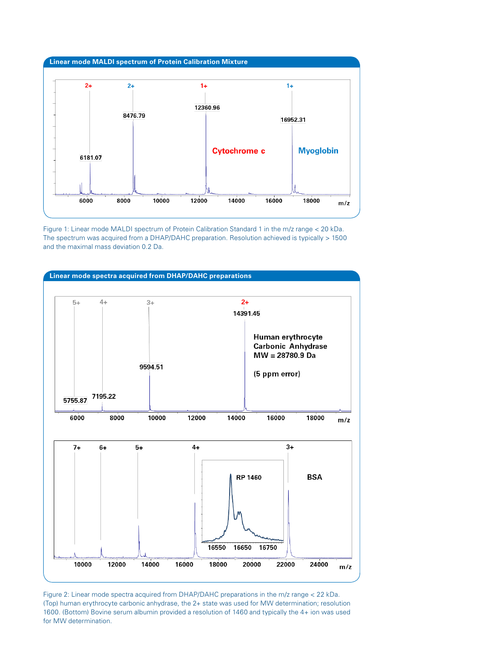

Figure 1: Linear mode MALDI spectrum of Protein Calibration Standard 1 in the m/z range < 20 kDa. The spectrum was acquired from a DHAP/DAHC preparation. Resolution achieved is typically > 1500 and the maximal mass deviation 0.2 Da.



Figure 2: Linear mode spectra acquired from DHAP/DAHC preparations in the m/z range < 22 kDa. (Top) human erythrocyte carbonic anhydrase, the 2+ state was used for MW determination; resolution 1600. (Bottom) Bovine serum albumin provided a resolution of 1460 and typically the 4+ ion was used for MW determination.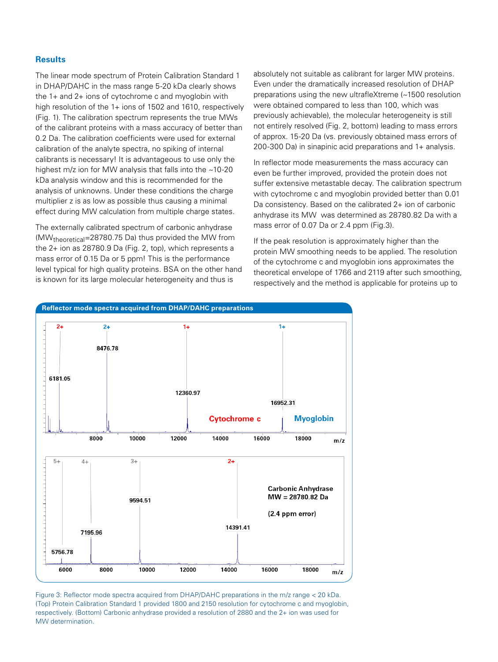#### **Results**

The linear mode spectrum of Protein Calibration Standard 1 in DHAP/DAHC in the mass range 5-20 kDa clearly shows the 1+ and 2+ ions of cytochrome c and myoglobin with high resolution of the 1+ ions of 1502 and 1610, respectively (Fig. 1). The calibration spectrum represents the true MWs of the calibrant proteins with a mass accuracy of better than 0.2 Da. The calibration coefficients were used for external calibration of the analyte spectra, no spiking of internal calibrants is necessary! It is advantageous to use only the highest m/z ion for MW analysis that falls into the ~10-20 kDa analysis window and this is recommended for the analysis of unknowns. Under these conditions the charge multiplier z is as low as possible thus causing a minimal effect during MW calculation from multiple charge states.

The externally calibrated spectrum of carbonic anhydrase (MWtheoretical=28780.75 Da) thus provided the MW from the 2+ ion as 28780.9 Da (Fig. 2, top), which represents a mass error of 0.15 Da or 5 ppm! This is the performance level typical for high quality proteins. BSA on the other hand is known for its large molecular heterogeneity and thus is

absolutely not suitable as calibrant for larger MW proteins. Even under the dramatically increased resolution of DHAP preparations using the new ultrafleXtreme (~1500 resolution were obtained compared to less than 100, which was previously achievable), the molecular heterogeneity is still not entirely resolved (Fig. 2, bottom) leading to mass errors of approx. 15-20 Da (vs. previously obtained mass errors of 200-300 Da) in sinapinic acid preparations and 1+ analysis.

In reflector mode measurements the mass accuracy can even be further improved, provided the protein does not suffer extensive metastable decay. The calibration spectrum with cytochrome c and myoglobin provided better than 0.01 Da consistency. Based on the calibrated 2+ ion of carbonic anhydrase its MW was determined as 28780.82 Da with a mass error of 0.07 Da or 2.4 ppm (Fig.3).

If the peak resolution is approximately higher than the protein MW smoothing needs to be applied. The resolution of the cytochrome c and myoglobin ions approximates the theoretical envelope of 1766 and 2119 after such smoothing, respectively and the method is applicable for proteins up to



Figure 3: Reflector mode spectra acquired from DHAP/DAHC preparations in the m/z range < 20 kDa. (Top) Protein Calibration Standard 1 provided 1800 and 2150 resolution for cytochrome c and myoglobin, respectively. (Bottom) Carbonic anhydrase provided a resolution of 2880 and the 2+ ion was used for MW determination.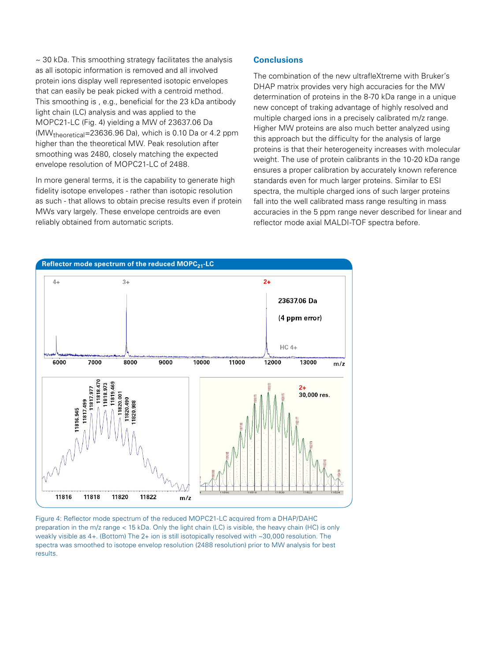$\sim$  30 kDa. This smoothing strategy facilitates the analysis as all isotopic information is removed and all involved protein ions display well represented isotopic envelopes that can easily be peak picked with a centroid method. This smoothing is , e.g., beneficial for the 23 kDa antibody light chain (LC) analysis and was applied to the MOPC21-LC (Fig. 4) yielding a MW of 23637.06 Da (MWtheoretical=23636.96 Da), which is 0.10 Da or 4.2 ppm higher than the theoretical MW. Peak resolution after smoothing was 2480, closely matching the expected envelope resolution of MOPC21-LC of 2488.

In more general terms, it is the capability to generate high fidelity isotope envelopes - rather than isotopic resolution as such - that allows to obtain precise results even if protein MWs vary largely. These envelope centroids are even reliably obtained from automatic scripts.

# **Conclusions**

The combination of the new ultrafleXtreme with Bruker's DHAP matrix provides very high accuracies for the MW determination of proteins in the 8-70 kDa range in a unique new concept of traking advantage of highly resolved and multiple charged ions in a precisely calibrated m/z range. Higher MW proteins are also much better analyzed using this approach but the difficulty for the analysis of large proteins is that their heterogeneity increases with molecular weight. The use of protein calibrants in the 10-20 kDa range ensures a proper calibration by accurately known reference standards even for much larger proteins. Similar to ESI spectra, the multiple charged ions of such larger proteins fall into the well calibrated mass range resulting in mass accuracies in the 5 ppm range never described for linear and reflector mode axial MALDI-TOF spectra before.



Figure 4: Reflector mode spectrum of the reduced MOPC21-LC acquired from a DHAP/DAHC preparation in the m/z range < 15 kDa. Only the light chain (LC) is visible, the heavy chain (HC) is only weakly visible as 4+. (Bottom) The 2+ ion is still isotopically resolved with ~30,000 resolution. The spectra was smoothed to isotope envelop resolution (2488 resolution) prior to MW analysis for best results.